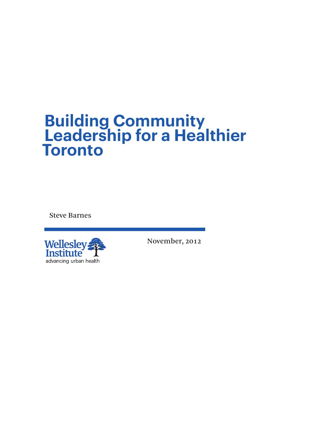# **Building Community Leadership for a Healthier Toronto**

Steve Barnes



November, 2012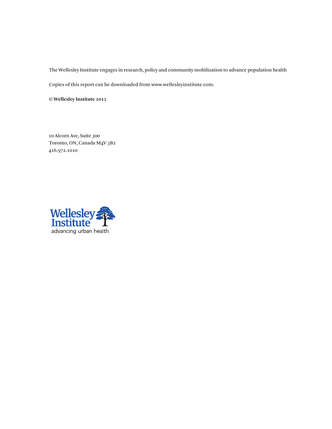The Wellesley Institute engages in research, policy and community mobilization to advance population health

Copies of this report can be downloaded from www.wellesleyinstitute.com.

**© Wellesley Institute 2012**

10 Alcorn Ave, Suite 300 Toronto, ON, Canada M4V 3B2 416.972.1010

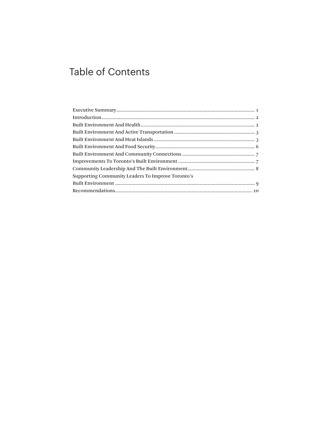## **Table of Contents**

| Supporting Community Leaders To Improve Toronto's |
|---------------------------------------------------|
|                                                   |
|                                                   |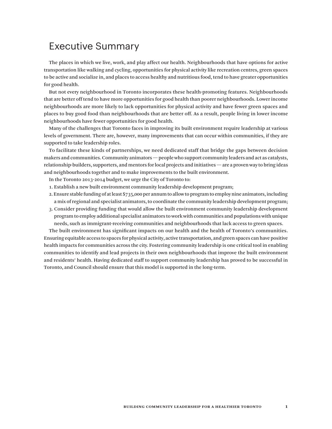### Executive Summary

The places in which we live, work, and play affect our health. Neighbourhoods that have options for active transportation like walking and cycling, opportunities for physical activity like recreation centres, green spaces to be active and socialize in, and places to access healthy and nutritious food, tend to have greater opportunities for good health.

But not every neighbourhood in Toronto incorporates these health-promoting features. Neighbourhoods that are better off tend to have more opportunities for good health than poorer neighbourhoods. Lower income neighbourhoods are more likely to lack opportunities for physical activity and have fewer green spaces and places to buy good food than neighbourhoods that are better off. As a result, people living in lower income neighbourhoods have fewer opportunities for good health.

Many of the challenges that Toronto faces in improving its built environment require leadership at various levels of government. There are, however, many improvements that can occur within communities, if they are supported to take leadership roles.

To facilitate these kinds of partnerships, we need dedicated staff that bridge the gaps between decision makers and communities. Community animators — people who support community leaders and act as catalysts, relationship-builders, supporters, and mentors for local projects and initiatives — are a proven way to bring ideas and neighbourhoods together and to make improvements to the built environment.

In the Toronto 2013-2014 budget, we urge the City of Toronto to:

- 1. Establish a new built environment community leadership development program;
- 2. Ensure stable funding of at least \$735,000 per annum to allow to program to employ nine animators, including a mix of regional and specialist animators, to coordinate the community leadership development program;
- 3. Consider providing funding that would allow the built environment community leadership development program to employ additional specialist animators to work with communities and populations with unique needs, such as immigrant-receiving communities and neighbourhoods that lack access to green spaces.

The built environment has significant impacts on our health and the health of Toronto's communities. Ensuring equitable access to spaces for physical activity, active transportation, and green spaces can have positive health impacts for communities across the city. Fostering community leadership is one critical tool in enabling communities to identify and lead projects in their own neighbourhoods that improve the built environment and residents' health. Having dedicated staff to support community leadership has proved to be successful in Toronto, and Council should ensure that this model is supported in the long-term.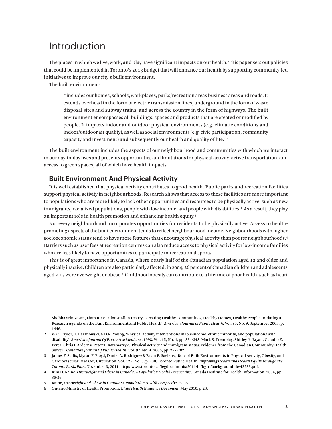### Introduction

The places in which we live, work, and play have significant impacts on our health. This paper sets out policies that could be implemented in Toronto's 2013 budget that will enhance our health by supporting community-led initiatives to improve our city's built environment.

The built environment:

 "includes our homes, schools, workplaces, parks/recreation areas business areas and roads. It extends overhead in the form of electric transmission lines, underground in the form of waste disposal sites and subway trains, and across the country in the form of highways. The built environment encompasses all buildings, spaces and products that are created or modified by people. It impacts indoor and outdoor physical environments (e.g. climatic conditions and indoor/outdoor air quality), as well as social environments (e.g. civic participation, community capacity and investment) and subsequently our health and quality of life."1

The built environment includes the aspects of our neighbourhood and communities with which we interact in our day-to-day lives and presents opportunities and limitations for physical activity, active transportation, and access to green spaces, all of which have health impacts.

#### **Built Environment And Physical Activity**

It is well established that physical activity contributes to good health. Public parks and recreation facilities support physical activity in neighbourhoods. Research shows that access to these facilities are more important to populations who are more likely to lack other opportunities and resources to be physically active, such as new immigrants, racialized populations, people with low income, and people with disabilities.<sup>2</sup> As a result, they play an important role in health promotion and enhancing health equity.3

Not every neighbourhood incorporates opportunities for residents to be physically active. Access to healthpromoting aspects of the built environment tends to reflect neighbourhood income. Neighbourhoods with higher socioeconomic status tend to have more features that encourage physical activity than poorer neighbourhoods.4 Barriers such as user fees at recreation centres can also reduce access to physical activity for low-income families who are less likely to have opportunities to participate in recreational sports.<sup>5</sup>

This is of great importance in Canada, where nearly half of the Canadian population aged 12 and older and physically inactive. Children are also particularly affected: in 2004, 26 percent of Canadian children and adolescents aged 2-17 were overweight or obese. $^{\rm 6}$  Childhood obesity can contribute to a lifetime of poor health, such as heart

<sup>1</sup> Shobha Srinivasan, Liam R. O'Fallon & Allen Dearry, 'Creating Healthy Communities, Healthy Homes, Healthy People: Initiating a Research Agenda on the Built Environment and Public Health', *American Journal of Public Health*, Vol. 93, No. 9, September 2003, p. 1446.

<sup>2</sup> W.C. Taylor, T. Baranowski, & D.R. Young, 'Physical activity interventions in low-income, ethnic minority, and populations with disability', *American Journal Of Preventive Medicine*, 1998. Vol. 15, No. 4, pp. 334-343; Mark S. Tremblay, Shirley N. Bryan, Claudio E. Perez, Chris I. Ardern & Peter T. Katzmarzyk, 'Physical activity and immigrant status: evidence from the Canadian Community Health Survey', *Canadian Journal Of Public Health*, Vol. 97, No. 4, 2006, pp. 277-282.

<sup>3</sup> James F. Sallis, Myron F. Floyd, Daniel A. Rodriguez & Brian E. Saelens, 'Role of Built Environments in Physical Activity, Obesity, and Cardiovascular Disease', Circulation, Vol. 125, No. 5, p. 730; Toronto Public Health*, Improving Health and Health Equity through the Toronto Parks Plan*, November 3, 2011. http://www.toronto.ca/legdocs/mmis/2011/hl/bgrd/backgroundfile-42233.pdf.

<sup>4</sup> Kim D. Raine, *Overweight and Obese in Canada: A Population Health Perspective*, Canada Institute for Health Information, 2004, pp. 35-36.

<sup>5</sup> Raine, *Overweight and Obese in Canada: A Population Health Perspective*, p. 35.

<sup>6</sup> Ontario Ministry of Health Promotion, *Child Health Guidance Document*, May 2010, p.23.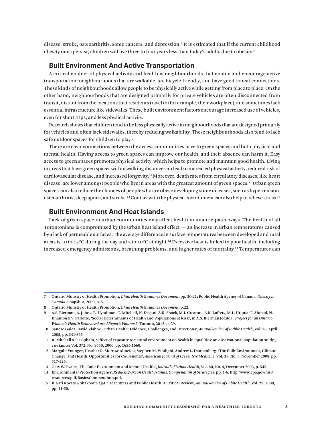disease, stroke, osteoarthritis, some cancers, and depression.7 It is estimated that if the current childhood obesity rates persist, children will live three to four years less than today's adults due to obesity.8

#### **Built Environment And Active Transportation**

A critical enabler of physical activity and health is neighbourhoods that enable and encourage active transportation: neighbourhoods that are walkable, are bicycle-friendly, and have good transit connections. These kinds of neighbourhoods allow people to be physically active while getting from place to place. On the other hand, neighbourhoods that are designed primarily for private vehicles are often disconnected from transit, distant from the locations that residents travel to (for example, their workplace), and sometimes lack essential infrastructure like sidewalks. These built environment factors encourage increased use of vehicles, even for short trips, and less physical activity.

Research shows that children tend to be less physically active in neighbourhoods that are designed primarily for vehicles and often lack sidewalks, thereby reducing walkability. These neighbourhoods also tend to lack safe outdoor spaces for children to play.9

There are clear connections between the access communities have to green spaces and both physical and mental health. Having access to green spaces can improve our health, and their absence can harm it. Easy access to green spaces promotes physical activity, which helps to promote and maintain good health. Living in areas that have green spaces within walking distance can lead to increased physical activity, reduced risk of cardiovascular disease, and increased longevity.10 Moreover, death rates from circulatory diseases, like heart disease, are lower amongst people who live in areas with the greatest amount of green spaces.<sup>11</sup> Urban green spaces can also reduce the chances of people who are obese developing some diseases, such as hypertension, osteoarthritis, sleep apnea, and stroke.12 Contact with the physical environment can also help to relieve stress.13

#### **Built Environment And Heat Islands**

Lack of green space in urban communities may affect health in unanticipated ways. The health of all Torontonians is compromised by the urban heat island effect  $-$  an increase in urban temperatures caused by a lack of permeable surfaces. The average difference in surface temperatures between developed and rural areas is 10 to 15°C during the day and 5 to 10°C at night.<sup>14</sup> Excessive heat is linked to poor health, including increased emergency admissions, breathing problems, and higher rates of mortality.15 Temperatures can

<sup>7</sup> Ontario Ministry of Health Promotion, *Child Health Guidance Document*, pp. 20-21; Public Health Agency of Canada, *Obesity in Canada*: Snapshot, 2009, p. 5.

<sup>8</sup> Ontario Ministry of Health Promotion, *Child Health Guidance Document*, p.22.

<sup>9</sup> A.S. Bierman, A. Johns, B. Hyndman, C. Mitchell, N. Degani, A.R. Shack, M.I. Creatore, A.K. Lofters, M.L. Urquia, F. Ahmad, N. Khanlou & V. Parlette, 'Social Determinants of Health and Populations at Risk', in A.S. Bierman (editor), *Project for an Ontario Women's Health Evidence-Based Report: Volume 2*: Toronto, 2012, p. 29.

<sup>10</sup> Sandro Galea; David Vlahov, 'Urban Health: Evidence, Challenges, and Directions', *Annual Review of Public Health*, Vol. 26, April 2005, pp. 341-365

<sup>11</sup> R. Mitchell & F. Popham, 'Effect of exposure to natural environment on health inequalities: an observational population study', *The Lancet* Vol. 372, No. 9650, 2006, pp. 1655-1660.

<sup>12</sup> Margalit Younger, Heather R. Morrow-Almeida, Stephen M. Vindigni, Andrew L. Dannenberg, 'The Built Environment, Climate Change, and Health: Opportunities for Co-Benefits', *American Journal of Preventive Medicine*, Vol. 35, No. 5, November 2008, pp. 517-526.

<sup>13</sup> Gary W. Evans, 'The Built Environment and Mental Health', *Journal of Urban Health*, Vol. 80, No. 4, December 2003, p. 545.

<sup>14</sup> Environmental Protection Agency, *Reducing Urban Health Islands: Compendium of Strategies*, pp. 1-6. http://www.epa.gov/hiri/ resources/pdf/BasicsCompendium.pdf.

<sup>15</sup> R. Sari Kovats & Shakoor Hajat, 'Heat Stress and Public Health: A Critical Review', *Annual Review of Public Health*, Vol. 29, 2008, pp. 41-55.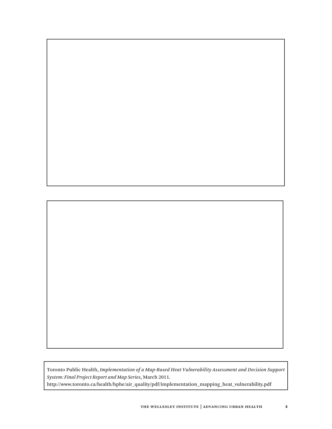



Toronto Public Health, *Implementation of a Map-Based Heat Vulnerability Assessment and Decision Support System: Final Project Report and Map Series*, March 2011. http://www.toronto.ca/health/hphe/air\_quality/pdf/implementation\_mapping\_heat\_vulnerability.pdf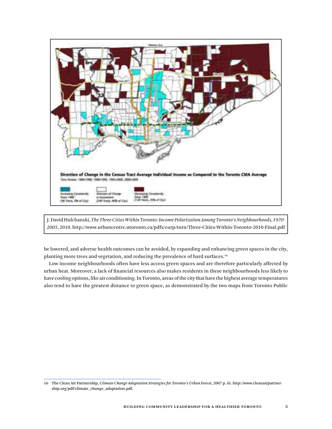

J. David Hulchanski, *The Three Cities Within Toronto: Income Polarization Among Toronto's Neighbourhoods, 1970- 2005*, 2010. http://www.urbancentre.utoronto.ca/pdfs/curp/tnrn/Three-Cities-Within-Toronto-2010-Final.pdf

be lowered, and adverse health outcomes can be avoided, by expanding and enhancing green spaces in the city, planting more trees and vegetation, and reducing the prevalence of hard surfaces.<sup>16</sup>

Low income neighbourhoods often have less access green spaces and are therefore particularly affected by urban heat. Moreover, a lack of financial resources also makes residents in these neighbourhoods less likely to have cooling options, like air conditioning. In Toronto, areas of the city that have the highest average temperatures also tend to have the greatest distance to green space, as demonstrated by the two maps from Toronto Public

<sup>16</sup> The Clean Air Partnership, *Climate Change Adaptation Strategies for Toronto's Urban Forest*, 2007 p. iii. http://www.cleanairpartnership.org/pdf/climate\_change\_adaptation.pdf.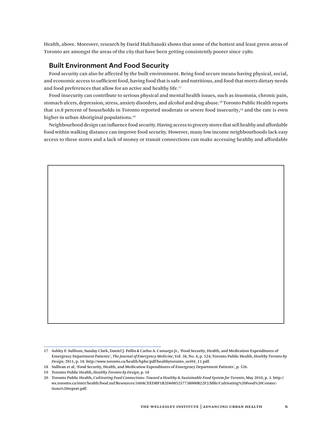Health, above. Moreover, research by David Hulchanski shows that some of the hottest and least green areas of Toronto are amongst the areas of the city that have been getting consistently poorer since 1980.

#### **Built Environment And Food Security**

Food security can also be affected by the built environment. Being food secure means having physical, social, and economic access to sufficient food, having food that is safe and nutritious, and food that meets dietary needs and food preferences that allow for an active and healthy life.<sup>17</sup>

Food insecurity can contribute to serious physical and mental health issues, such as insomnia, chronic pain, stomach ulcers, depression, stress, anxiety disorders, and alcohol and drug abuse.18 Toronto Public Health reports that 10.8 percent of households in Toronto reported moderate or severe food insecurity,<sup>19</sup> and the rate is even higher in urban Aboriginal populations.<sup>20</sup>

Neighbourhood design can influence food security. Having access to grocery stores that sell healthy and affordable food within walking distance can improve food security. However, many low income neighbourhoods lack easy access to these stores and a lack of money or transit connections can make accessing healthy and affordable



<sup>17</sup> Ashley F. Sullivan, Sunday Clark, Daniel J. Pallin & Carlos A. Camargo Jr., 'Food Security, Health, and Medication Expenditures of Emergency Department Patients', *The Journal of Emergency Medicine*, Vol. 38, No. 4, p. 524; Toronto Public Health, *Healthy Toronto by Design*, 2011, p. 18. http://www.toronto.ca/health/hphe/pdf/healthytoronto\_oct04\_11.pdf.

<sup>18</sup> Sullivan et al, 'Food Security, Health, and Medication Expenditures of Emergency Department Patients', p. 526.

<sup>19</sup> Toronto Public Health, *Healthy Toronto by Design*, p. 18

<sup>20</sup> Toronto Public Health, *Cultivating Food Connections: Toward a Healthy & Sustainable Food System for Toronto*, May 2010, p. 3. http:// wx.toronto.ca/inter/health/food.nsf/Resources/340ACEEDBF1B2D6085257738000B22F2/\$file/Cultivating%20Food%20Connections%20report.pdf.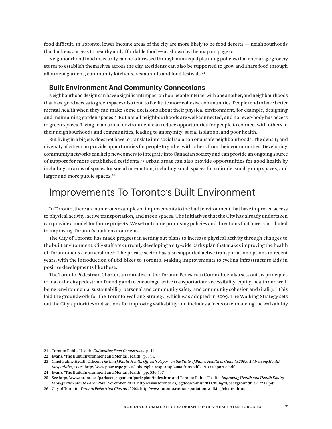food difficult. In Toronto, lower income areas of the city are more likely to be food deserts — neighbourhoods that lack easy access to healthy and affordable food — as shown by the map on page 6.

Neighbourhood food insecurity can be addressed through municipal planning policies that encourage grocery stores to establish themselves across the city. Residents can also be supported to grow and share food through allotment gardens, community kitchens, restaurants and food festivals.<sup>21</sup>

#### **Built Environment And Community Connections**

Neighbourhood design can have a significant impact on how people interact with one another, and neighbourhoods that have good access to green spaces also tend to facilitate more cohesive communities. People tend to have better mental health when they can make some decisions about their physical environment, for example, designing and maintaining garden spaces.<sup>22</sup> But not all neighbourhoods are well-connected, and not everybody has access to green spaces. Living in an urban environment can reduce opportunities for people to connect with others in their neighbourhoods and communities, leading to anonymity, social isolation, and poor health.

But living in a big city does not have to translate into social isolation or unsafe neighbourhoods. The density and diversity of cities can provide opportunities for people to gather with others from their communities. Developing community networks can help newcomers to integrate into Canadian society and can provide an ongoing source of support for more established residents.23 Urban areas can also provide opportunities for good health by including an array of spaces for social interaction, including small spaces for solitude, small group spaces, and larger and more public spaces.<sup>24</sup>

### Improvements To Toronto's Built Environment

In Toronto, there are numerous examples of improvements to the built environment that have improved access to physical activity, active transportation, and green spaces. The initiatives that the City has already undertaken can provide a model for future projects. We set out some promising policies and directions that have contributed to improving Toronto's built environment.

The City of Toronto has made progress in setting out plans to increase physical activity through changes to the built environment. City staff are currently developing a city-wide parks plan that makes improving the health of Torontonians a cornerstone.25 The private sector has also supported active transportation options in recent years, with the introduction of Bixi bikes to Toronto. Making improvements to cycling infrastructure aids in positive developments like these.

The Toronto Pedestrian Charter, an initiative of the Toronto Pedestrian Committee, also sets out six principles to make the city pedestrian-friendly and to encourage active transportation: accessibility, equity, health and wellbeing, environmental sustainability, personal and community safety, and community cohesion and vitality.26 This laid the groundwork for the Toronto Walking Strategy, which was adopted in 2009. The Walking Strategy sets out the City's priorities and actions for improving walkability and includes a focus on enhancing the walkability

<sup>21</sup> Toronto Public Health, *Cultivating Food Connections*, p. 14.

<sup>22</sup> Evans, 'The Built Environment and Mental Health', p. 544.

<sup>23</sup> Chief Public Health Officer, *The Chief Public Health Officer's Report on the State of Public Health in Canada 2008: Addressing Health Inequalities, 2008*. http://www.phac-aspc.gc.ca/cphorsphc-respcacsp/2008/fr-rc/pdf/CPHO-Report-e.pdf.

<sup>24</sup> Evans, 'The Built Environment and Mental Health', pp. 536-537

<sup>25</sup> See http://www.toronto.ca/parks/engagement/parksplan/index.htm and Toronto Public Health, *Improving Health and Health Equity through the Toronto Parks Plan*, November 2011. http://www.toronto.ca/legdocs/mmis/2011/hl/bgrd/backgroundfile-42233.pdf.

<sup>26</sup> City of Toronto, *Toronto Pedestrian Charter*, 2002. http://www.toronto.ca/transportation/walking/charter.htm.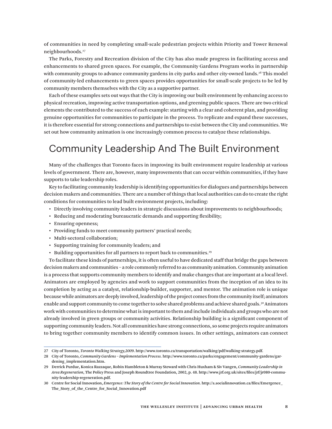of communities in need by completing small-scale pedestrian projects within Priority and Tower Renewal neighbourhoods.<sup>27</sup>

The Parks, Forestry and Recreation division of the City has also made progress in facilitating access and enhancements to shared green spaces. For example, the Community Gardens Program works in partnership with community groups to advance community gardens in city parks and other city-owned lands.<sup>28</sup> This model of community-led enhancements to green spaces provides opportunities for small-scale projects to be led by community members themselves with the City as a supportive partner.

Each of these examples sets out ways that the City is improving our built environment by enhancing access to physical recreation, improving active transportation options, and greening public spaces. There are two critical elements the contributed to the success of each example: starting with a clear and coherent plan, and providing genuine opportunities for communities to participate in the process. To replicate and expand these successes, it is therefore essential for strong connections and partnerships to exist between the City and communities. We set out how community animation is one increasingly common process to catalyze these relationships.

### Community Leadership And The Built Environment

Many of the challenges that Toronto faces in improving its built environment require leadership at various levels of government. There are, however, many improvements that can occur within communities, if they have supports to take leadership roles.

Key to facilitating community leadership is identifying opportunities for dialogues and partnerships between decision makers and communities. There are a number of things that local authorities can do to create the right conditions for communities to lead built environment projects, including:

- • Directly involving community leaders in strategic discussions about improvements to neighbourhoods;
- Reducing and moderating bureaucratic demands and supporting flexibility;
- Ensuring openness;
- Providing funds to meet community partners' practical needs;
- Multi-sectoral collaboration;
- Supporting training for community leaders; and
- $\cdot$  Building opportunities for all partners to report back to communities.<sup>29</sup>

To facilitate these kinds of partnerships, it is often useful to have dedicated staff that bridge the gaps between decision makers and communities – a role commonly referred to as community animation. Community animation is a process that supports community members to identify and make changes that are important at a local level. Animators are employed by agencies and work to support communities from the inception of an idea to its completion by acting as a catalyst, relationship-builder, supporter, and mentor. The animation role is unique because while animators are deeply involved, leadership of the project comes from the community itself; animators enable and support community to come together to solve shared problems and achieve shared goals.<sup>30</sup> Animators work with communities to determine what is important to them and include individuals and groups who are not already involved in green groups or community activities. Relationship building is a significant component of supporting community leaders. Not all communities have strong connections, so some projects require animators to bring together community members to identify common issues. In other settings, animators can connect

<sup>27</sup> City of Toronto, *Toronto Walking Strategy,2009*. http://www.toronto.ca/transportation/walking/pdf/walking-strategy.pdf.

<sup>28</sup> City of Toronto, *Community Gardens – Implementation Process.* http://www.toronto.ca/parks/engagement/community-gardens/gardening implementation.htm.

<sup>29</sup> Derrick Purdue, Konica Razzaque, Robin Hambleton & Murray Steward with Chris Huxham & Siv Vangen, *Community Leadership in Area Regeneration*, The Policy Press and Joseph Roundtree Foundation, 2002, p. 48. http://www.jrf.org.uk/sites/files/jrf/jr080-community-leadership-regeneration.pdf.

<sup>30</sup> Centre for Social Innovation, *Emergence: The Story of the Centre for Social Innovation*. http://s.socialinnovation.ca/files/Emergence\_ The\_Story\_of\_the\_Centre\_for\_Social\_Innovation.pdf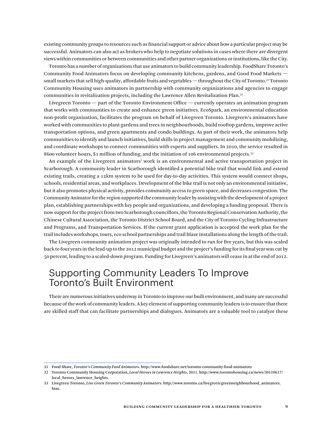existing community groups to resources such as financial support or advice about how a particular project may be successful. Animators can also act as brokers who help to negotiate solutions in cases where there are divergent views within communities or between communities and other partner organizations or institutions, like the City.

Toronto has a number of organizations that use animators to build community leadership. FoodShare Toronto's Community Food Animators focus on developing community kitchens, gardens, and Good Food Markets small markets that sell high-quality, affordable fruits and vegetables — throughout the City of Toronto.<sup>31</sup> Toronto Community Housing uses animators in partnership with community organizations and agencies to engage communities in revitalization projects, including the Lawrence Allen Revitalization Plan.32

Livegreen Toronto — part of the Toronto Environment Office — currently operates an animation program that works with communities to create and enhance green initiatives. EcoSpark, an environmental education non-profit organization, facilitates the program on behalf of Livegreen Toronto. Livegreen's animators have worked with communities to plant gardens and trees in neighbourhoods, build rooftop gardens, improve active transportation options, and green apartments and condo buildings. As part of their work, the animators help communities to identify and launch initiatives, build skills in project management and community mobilizing, and coordinate workshops to connect communities with experts and suppliers. In 2010, the service resulted in 8600 volunteer hours, \$1 million of funding, and the initiation of 106 environmental projects.33

An example of the Livegreen animators' work is an environmental and active transportation project in Scarborough. A community leader in Scarborough identified a potential bike trail that would link and extend existing trails, creating a 12km system to be used for day-to-day activities. This system would connect shops, schools, residential areas, and workplaces. Development of the bike trail is not only an environmental initiative, but it also promotes physical activity, provides community access to green space, and decreases congestion. The Community Animator for the region supported the community leader by assisting with the development of a project plan, establishing partnerships with key people and organizations, and developing a funding proposal. There is now support for the project from two Scarborough councillors, the Toronto Regional Conservation Authority, the Chinese Cultural Association, the Toronto District School Board, and the City of Toronto Cycling Infrastructure and Programs, and Transportation Services. If the current grant application is accepted the work plan for the trail includes workshops, tours, eco school partnerships and trail blaze installations along the length of the trail.

The Livegreen community animation project was originally intended to run for five years, but this was scaled back to four years in the lead-up to the 2012 municipal budget and the project's funding for its final year was cut by 50 percent, leading to a scaled-down program. Funding for Livegreen's animators will cease in at the end of 2012.

### Supporting Community Leaders To Improve Toronto's Built Environment

There are numerous initiatives underway in Toronto to improve our built environment, and many are successful because of the work of community leaders. A key element of supporting community leaders is to ensure that there are skilled staff that can facilitate partnerships and dialogues. Animators are a valuable tool to catalyze these

<sup>31</sup> Food Share, *Toronto's Community Food Animators*. http://www.foodshare.net/toronto-community-food-animators

<sup>32</sup> Toronto Community Housing Corporation, *Local Heroes in Lawrence Heights*, 2011. http://www.torontohousing.ca/news/20110617/ local\_heroes\_lawrence\_heights.

<sup>33</sup> Livegreen Toronto, *Live Green Toronto's Community Animators*. http://www.toronto.ca/livegreen/greenneighbourhood\_animators. htm.